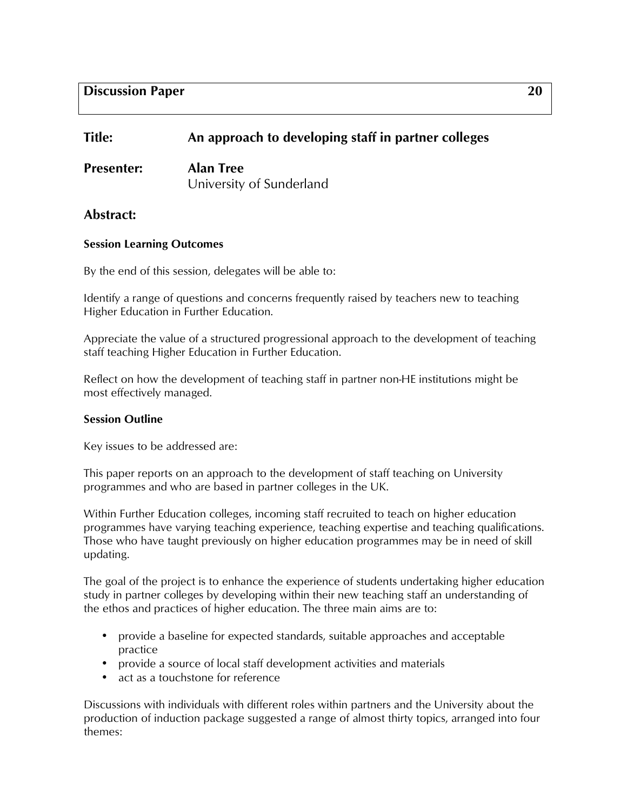## **Discussion Paper 20**

# **Title: An approach to developing staff in partner colleges**

**Presenter: Alan Tree** University of Sunderland

## **Abstract:**

### **Session Learning Outcomes**

By the end of this session, delegates will be able to:

Identify a range of questions and concerns frequently raised by teachers new to teaching Higher Education in Further Education.

Appreciate the value of a structured progressional approach to the development of teaching staff teaching Higher Education in Further Education.

Reflect on how the development of teaching staff in partner non-HE institutions might be most effectively managed.

#### **Session Outline**

Key issues to be addressed are:

This paper reports on an approach to the development of staff teaching on University programmes and who are based in partner colleges in the UK.

Within Further Education colleges, incoming staff recruited to teach on higher education programmes have varying teaching experience, teaching expertise and teaching qualifications. Those who have taught previously on higher education programmes may be in need of skill updating.

The goal of the project is to enhance the experience of students undertaking higher education study in partner colleges by developing within their new teaching staff an understanding of the ethos and practices of higher education. The three main aims are to:

- provide a baseline for expected standards, suitable approaches and acceptable practice
- provide a source of local staff development activities and materials
- act as a touchstone for reference

Discussions with individuals with different roles within partners and the University about the production of induction package suggested a range of almost thirty topics, arranged into four themes: